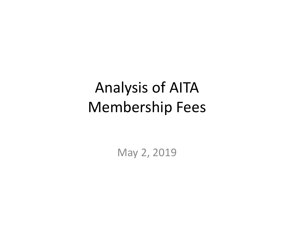# Analysis of AITA Membership Fees

May 2, 2019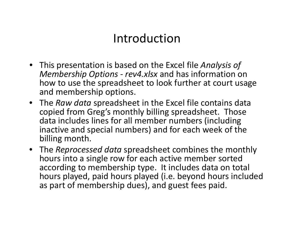## Introduction

- This presentation is based on the Excel file *Analysis of Membership Options ‐ rev4.xlsx* and has information on how to use the spreadsheet to look further at court usage and membership options.
- The *Raw data* spreadsheet in the Excel file contains data copied from Greg's monthly billing spreadsheet. Those data includes lines for all member numbers (including inactive and special numbers) and for each week of the billing month.
- The *Reprocessed data* spreadsheet combines the monthly hours into <sup>a</sup> single row for each active member sorted according to membership type. It includes data on total hours played, paid hours played (i.e. beyond hours included as part of membership dues), and guest fees paid.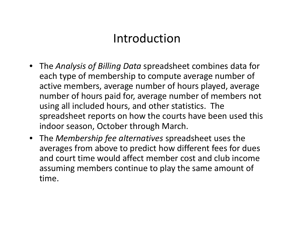## Introduction

- The *Analysis of Billing Data* spreadsheet combines data for each type of membership to compute average number of active members, average number of hours played, average number of hours paid for, average number of members not using all included hours, and other statistics. The spreadsheet reports on how the courts have been used this indoor season, October through March.
- The *Membership fee alternatives* spreadsheet uses the averages from above to predict how different fees for dues and court time would affect member cost and club income assuming members continue to play the same amount of time.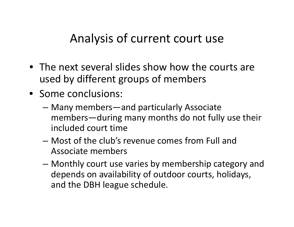## Analysis of current court use

- The next several slides show how the courts are used by different groups of members
- Some conclusions:
	- – Many members—and particularly Associate members—during many months do not fully use their included court time
	- Most of the club's revenue comes from Full and Associate members
	- – Monthly court use varies by membership category and depends on availability of outdoor courts, holidays, and the DBH league schedule.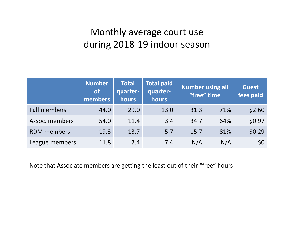## Monthly average court use during 2018‐19 indoor season

|                     | <b>Number</b><br><b>lof</b><br>members | <b>Total</b><br>quarter-<br>hours | <b>Total paid</b><br>quarter-<br>hours | <b>Number using all</b><br>"free" time | <b>Guest</b><br>fees paid |                 |
|---------------------|----------------------------------------|-----------------------------------|----------------------------------------|----------------------------------------|---------------------------|-----------------|
| <b>Full members</b> | 44.0                                   | 29.0                              | 13.0                                   | 31.3                                   | 71%                       | \$2.60          |
| Assoc. members      | 54.0                                   | 11.4                              | 3.4                                    | 34.7                                   | 64%                       | \$0.97          |
| <b>RDM</b> members  | 19.3                                   | 13.7                              | 5.7                                    | 15.7                                   | 81%                       | \$0.29          |
| League members      | 11.8                                   | 7.4                               | 7.4                                    | N/A                                    | N/A                       | 50 <sup>°</sup> |

Note that Associate members are getting the least out of their "free" hours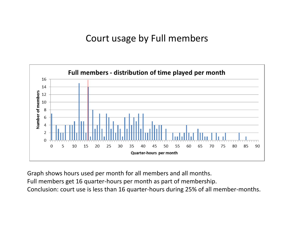## Court usage by Full members



Graph shows hours used per month for all members and all months.

Full members get 16 quarter‐hours per month as part of membership.

Conclusion: court use is less than 16 quarter‐hours during 25% of all member‐months.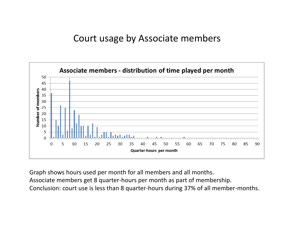## Court usage by Associate members



Graph shows hours used per month for all members and all months. Associate members get 8 quarter‐hours per month as part of membership. Conclusion: court use is less than 8 quarter‐hours during 37% of all member‐months.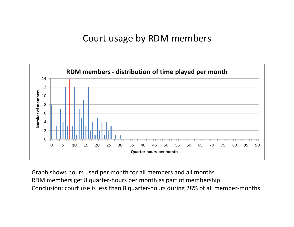## Court usage by RDM members



Graph shows hours used per month for all members and all months. RDM members get 8 quarter‐hours per month as part of membership. Conclusion: court use is less than 8 quarter‐hours during 28% of all member‐months.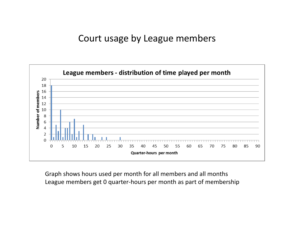## Court usage by League members



Graph shows hours used per month for all members and all months League members get 0 quarter‐hours per month as part of membership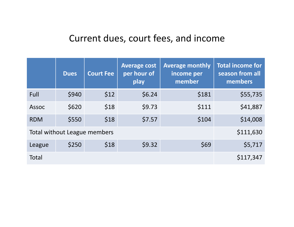## Current dues, court fees, and income

|              | <b>Dues</b> | <b>Court Fee</b>             | <b>Average cost</b><br>per hour of<br>play | <b>Average monthly</b><br>income per<br>member | <b>Total income for</b><br>season from all<br>members |
|--------------|-------------|------------------------------|--------------------------------------------|------------------------------------------------|-------------------------------------------------------|
| Full         | \$940       | \$12                         | \$6.24                                     | \$181                                          | \$55,735                                              |
| <b>Assoc</b> | \$620       | \$18                         | \$9.73                                     | \$111                                          | \$41,887                                              |
| <b>RDM</b>   | \$550       | \$18                         | \$7.57                                     | \$104                                          | \$14,008                                              |
|              |             | Total without League members |                                            |                                                | \$111,630                                             |
| League       | \$250       | \$18                         | \$9.32                                     | \$69                                           | \$5,717                                               |
| Total        |             |                              |                                            |                                                | \$117,347                                             |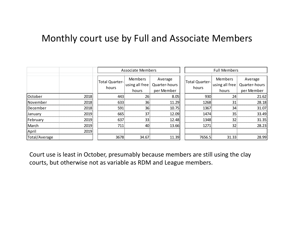## Monthly court use by Full and Associate Members

|               |      |                         | <b>Associate Members</b>                  |                                        | <b>Full Members</b>            |                                            |                                        |  |  |  |
|---------------|------|-------------------------|-------------------------------------------|----------------------------------------|--------------------------------|--------------------------------------------|----------------------------------------|--|--|--|
|               |      | Total Quarter-<br>hours | <b>Members</b><br>using all free<br>hours | Average<br>Quarter-hours<br>per Member | <b>Total Quarter-</b><br>hours | <b>Members</b><br>dusing all free<br>hours | Average<br>Quarter-hours<br>per Member |  |  |  |
| October       | 2018 | 443                     | 26                                        | 8.05                                   | 930                            | 24                                         | 21.62                                  |  |  |  |
| November      | 2018 | 633                     | 36                                        | 11.29                                  | 1268                           | 31                                         | 28.18                                  |  |  |  |
| December      | 2018 | 591                     | 36                                        | 10.75                                  | 1367                           | 34                                         | 31.07                                  |  |  |  |
| January       | 2019 | 665                     | 37                                        | 12.09                                  | 1474                           | 35                                         | 33.49                                  |  |  |  |
| February      | 2019 | 637                     | 33                                        | 12.48                                  | 1348                           | 32                                         | 31.35                                  |  |  |  |
| March         | 2019 | 711                     | 40                                        | 13.66                                  | 1271                           | 32                                         | 28.23                                  |  |  |  |
| April         | 2019 |                         |                                           |                                        |                                |                                            |                                        |  |  |  |
| Total/Average |      | 3678                    | 34.67                                     | 11.39                                  | 7656.5                         | 31.33                                      | 28.99                                  |  |  |  |

Court use is least in October, presumably because members are still using the clay courts, but otherwise not as variable as RDM and League members.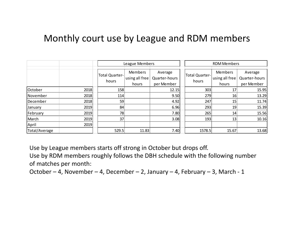## Monthly court use by League and RDM members

|               |      |                         | League Members                            |                                        | <b>RDM Members</b>             |                                    |                                        |  |  |
|---------------|------|-------------------------|-------------------------------------------|----------------------------------------|--------------------------------|------------------------------------|----------------------------------------|--|--|
|               |      | Total Quarter-<br>hours | <b>Members</b><br>using all free<br>hours | Average<br>Quarter-hours<br>per Member | <b>Total Quarter-</b><br>hours | Members<br>using all free<br>hours | Average<br>Quarter-hours<br>per Member |  |  |
| October       | 2018 | 158                     |                                           | 12.15                                  | 303                            | 17                                 | 15.95                                  |  |  |
| November      | 2018 | 114                     |                                           | 9.50                                   | 279                            | 16                                 | 13.29                                  |  |  |
| December      | 2018 | 59                      |                                           | 4.92                                   | 247                            | 15                                 | 11.74                                  |  |  |
| January       | 2019 | 84                      |                                           | 6.96                                   | 293                            | 19                                 | 15.39                                  |  |  |
| February      | 2019 | 78                      |                                           | 7.80                                   | 265                            | 14                                 | 15.56                                  |  |  |
| March         | 2019 | 37                      |                                           | 3.08                                   | 193                            | 13                                 | 10.16                                  |  |  |
| April         | 2019 |                         |                                           |                                        |                                |                                    |                                        |  |  |
| Total/Average |      | 529.5                   | 11.83                                     | 7.40                                   | 1578.5                         | 15.67                              | 13.68                                  |  |  |

Use by League members starts off strong in October but drops off.

Use by RDM members roughly follows the DBH schedule with the following number of matches per month:

October – 4, November – 4, December – 2, January – 4, February – 3, March ‐ 1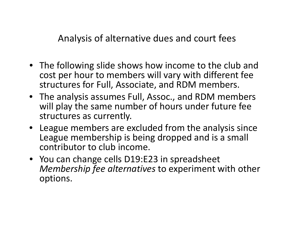Analysis of alternative dues and court fees

- The following slide shows how income to the club and cost per hour to members will vary with different fee structures for Full, Associate, and RDM members.
- The analysis assumes Full, Assoc., and RDM members will play the same number of hours under future fee structures as currently.
- League members are excluded from the analysis since League membership is being dropped and is <sup>a</sup> small contributor to club income.
- You can change cells D19:E23 in spreadsheet *Membership fee alternatives* to experiment with other options.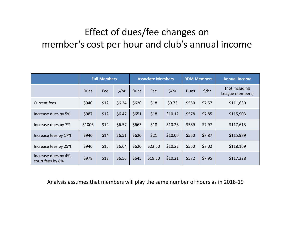## Effect of dues/fee changes on member's cost per hour and club's annual income

|                                          | <b>Full Members</b> |      |        |             | <b>Associate Members</b> |         |             | <b>RDM Members</b> | <b>Annual Income</b>              |  |
|------------------------------------------|---------------------|------|--------|-------------|--------------------------|---------|-------------|--------------------|-----------------------------------|--|
|                                          | <b>Dues</b>         | Fee  | \$/hr  | <b>Dues</b> | Fee                      | \$/hr   | <b>Dues</b> | \$/hr              | (not including<br>League members) |  |
| <b>Current fees</b>                      | \$940               | \$12 | \$6.24 | \$620       | \$18                     | \$9.73  | \$550       | \$7.57             | \$111,630                         |  |
| Increase dues by 5%                      | \$987               | \$12 | \$6.47 | \$651       | \$18                     | \$10.12 | \$578       | \$7.85             | \$115,903                         |  |
| Increase dues by 7%                      | \$1006              | \$12 | \$6.57 | \$663       | \$18                     | \$10.28 | \$589       | \$7.97             | \$117,613                         |  |
| Increase fees by 17%                     | \$940               | \$14 | \$6.51 | \$620       | \$21                     | \$10.06 | \$550       | \$7.87             | \$115,989                         |  |
| Increase fees by 25%                     | \$940               | \$15 | \$6.64 | \$620       | \$22.50                  | \$10.22 | \$550       | \$8.02             | \$118,169                         |  |
| Increase dues by 4%,<br>court fees by 8% | \$978               | \$13 | \$6.56 | \$645       | \$19.50                  | \$10.21 | \$572       | \$7.95             | \$117,228                         |  |

Analysis assumes that members will play the same number of hours as in 2018‐19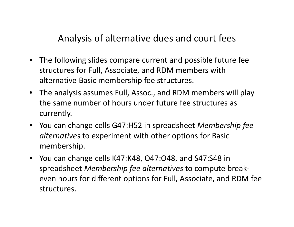Analysis of alternative dues and court fees

- $\bullet$  The following slides compare current and possible future fee structures for Full, Associate, and RDM members with alternative Basic membership fee structures.
- The analysis assumes Full, Assoc., and RDM members will play the same number of hours under future fee structures as currently.
- You can change cells G47:H52 in spreadsheet *Membership fee alternatives* to experiment with other options for Basic membership.
- You can change cells K47:K48, O47:O48, and S47:S48 in spreadsheet *Membership fee alternatives* to compute break‐ even hours for different options for Full, Associate, and RDM fee structures.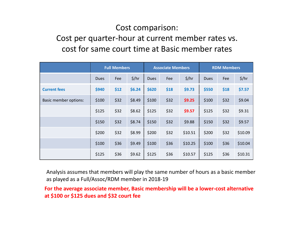## Cost comparison:

### Cost per quarter‐hour at current member rates vs. cost for same court time at Basic member rates

|                              | <b>Full Members</b> |      |        |             | <b>Associate Members</b> |         |             |      | <b>RDM Members</b> |  |  |
|------------------------------|---------------------|------|--------|-------------|--------------------------|---------|-------------|------|--------------------|--|--|
|                              | <b>Dues</b>         | Fee  | \$/hr  | <b>Dues</b> | Fee                      | \$/hr   | <b>Dues</b> | Fee  | \$/hr              |  |  |
| <b>Current fees</b>          | \$940               | \$12 | \$6.24 | \$620       | \$18                     | \$9.73  | \$550       | \$18 | \$7.57             |  |  |
| <b>Basic member options:</b> | \$100               | \$32 | \$8.49 | \$100       | \$32                     | \$9.25  | \$100       | \$32 | \$9.04             |  |  |
|                              | \$125               | \$32 | \$8.62 | \$125       | \$32                     | \$9.57  | \$125       | \$32 | \$9.31             |  |  |
|                              | \$150               | \$32 | \$8.74 | \$150       | \$32                     | \$9.88  | \$150       | \$32 | \$9.57             |  |  |
|                              | \$200               | \$32 | \$8.99 | \$200       | \$32                     | \$10.51 | \$200       | \$32 | \$10.09            |  |  |
|                              | \$100               | \$36 | \$9.49 | \$100       | \$36                     | \$10.25 | \$100       | \$36 | \$10.04            |  |  |
|                              | \$125               | \$36 | \$9.62 | \$125       | \$36                     | \$10.57 | \$125       | \$36 | \$10.31            |  |  |

Analysis assumes that members will play the same number of hours as <sup>a</sup> basic member as played as <sup>a</sup> Full/Assoc/RDM member in 2018‐19

**For the average associate member, Basic membership will be <sup>a</sup> lower‐cost alternative at \$100 or \$125 dues and \$32 court fee**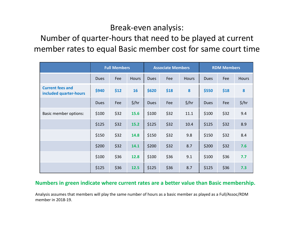#### Break‐even analysis:

Number of quarter‐hours that need to be played at current member rates to equal Basic member cost for same court time

|                                                   |             | <b>Full Members</b> |              |             | <b>Associate Members</b> |                   | <b>RDM Members</b> |      |              |
|---------------------------------------------------|-------------|---------------------|--------------|-------------|--------------------------|-------------------|--------------------|------|--------------|
|                                                   | <b>Dues</b> | Fee                 | <b>Hours</b> | <b>Dues</b> | Fee                      | <b>Hours</b>      | <b>Dues</b>        | Fee  | <b>Hours</b> |
| <b>Current fees and</b><br>included quarter-hours | \$940       | \$12                | 16           | \$620       | \$18                     | 8                 | \$550              | \$18 | 8            |
|                                                   | <b>Dues</b> | Fee                 | \$/hr        | <b>Dues</b> | Fee                      | $\frac{2}{3}$ /hr | <b>Dues</b>        | Fee  | \$/hr        |
| <b>Basic member options:</b>                      | \$100       | \$32                | 15.6         | \$100       | \$32                     | 11.1              | \$100              | \$32 | 9.4          |
|                                                   | \$125       | \$32                | 15.2         | \$125       | \$32                     | 10.4              | \$125              | \$32 | 8.9          |
|                                                   | \$150       | \$32                | 14.8         | \$150       | \$32                     | 9.8               | \$150              | \$32 | 8.4          |
|                                                   | \$200       | \$32                | 14.1         | \$200       | \$32                     | 8.7               | \$200              | \$32 | 7.6          |
|                                                   | \$100       | \$36                | 12.8         | \$100       | \$36                     | 9.1               | \$100              | \$36 | 7.7          |
|                                                   | \$125       | \$36                | 12.5         | \$125       | \$36                     | 8.7               | \$125              | \$36 | 7.3          |

#### **Numbers in green indicate where current rates are <sup>a</sup> better value than Basic membership.**

Analysis assumes that members will play the same number of hours as <sup>a</sup> basic member as played as <sup>a</sup> Full/Assoc/RDM member in 2018‐19.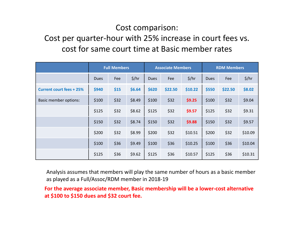## Cost comparison:

## Cost per quarter‐hour with 25% increase in court fees vs. cost for same court time at Basic member rates

|                                 | <b>Full Members</b> |      |        |             | <b>Associate Members</b> |         |             | <b>RDM Members</b> |         |  |
|---------------------------------|---------------------|------|--------|-------------|--------------------------|---------|-------------|--------------------|---------|--|
|                                 | <b>Dues</b>         | Fee  | \$/hr  | <b>Dues</b> | Fee                      | \$/hr   | <b>Dues</b> | Fee                | \$/hr   |  |
| <b>Current court fees + 25%</b> | \$940               | \$15 | \$6.64 | \$620       | \$22.50                  | \$10.22 | \$550       | \$22.50            | \$8.02  |  |
| <b>Basic member options:</b>    | \$100               | \$32 | \$8.49 | \$100       | \$32                     | \$9.25  | \$100       | \$32               | \$9.04  |  |
|                                 | \$125               | \$32 | \$8.62 | \$125       | \$32                     | \$9.57  | \$125       | \$32               | \$9.31  |  |
|                                 | \$150               | \$32 | \$8.74 | \$150       | \$32                     | \$9.88  | \$150       | \$32               | \$9.57  |  |
|                                 | \$200               | \$32 | \$8.99 | \$200       | \$32                     | \$10.51 | \$200       | \$32               | \$10.09 |  |
|                                 | \$100               | \$36 | \$9.49 | \$100       | \$36                     | \$10.25 | \$100       | \$36               | \$10.04 |  |
|                                 | \$125               | \$36 | \$9.62 | \$125       | \$36                     | \$10.57 | \$125       | \$36               | \$10.31 |  |

Analysis assumes that members will play the same number of hours as <sup>a</sup> basic member as played as <sup>a</sup> Full/Assoc/RDM member in 2018‐19

**For the average associate member, Basic membership will be <sup>a</sup> lower‐cost alternative at \$100 to \$150 dues and \$32 court fee.**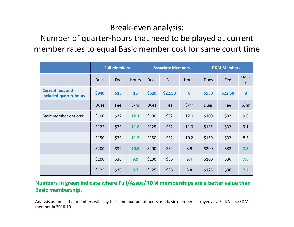#### Break‐even analysis:

Number of quarter‐hours that need to be played at current member rates to equal Basic member cost for same court time

|                                                   |             | <b>Full Members</b> |              |             | <b>Associate Members</b> |                 | <b>RDM Members</b> |         |           |
|---------------------------------------------------|-------------|---------------------|--------------|-------------|--------------------------|-----------------|--------------------|---------|-----------|
|                                                   | <b>Dues</b> | Fee                 | <b>Hours</b> | <b>Dues</b> | Fee                      | <b>Hours</b>    | <b>Dues</b>        | Fee     | Hour<br>S |
| <b>Current fees and</b><br>included quarter-hours | \$940       | \$15                | 16           | \$620       | \$22.50                  | 8               | \$550              | \$22.50 | 8         |
|                                                   | <b>Dues</b> | Fee                 | \$/hr        | <b>Dues</b> | Fee                      | $\frac{2}{\pi}$ | <b>Dues</b>        | Fee     | \$/hr     |
| <b>Basic member options:</b>                      | \$100       | \$32                | 12.1         | \$100       | \$32                     | 12.0            | \$100              | \$32    | 9.8       |
|                                                   | \$125       | \$32                | 11.8         | \$125       | \$32                     | 11.0            | \$125              | \$32    | 9.1       |
|                                                   | \$150       | \$32                | 11.5         | \$150       | \$32                     | 10.2            | \$150              | \$32    | 8.5       |
|                                                   | \$200       | \$32                | 10.9         | \$200       | \$32                     | 8.9             | \$200              | \$32    | 7.5       |
|                                                   | \$100       | \$36                | 9.9          | \$100       | \$36                     | 9.4             | \$100              | \$36    | 7.6       |
|                                                   | \$125       | \$36                | 9.7          | \$125       | \$36                     | 8.8             | \$125              | \$36    | 7.2       |

#### **Numbers in green indicate where Full/Assoc/RDM memberships are <sup>a</sup> better value than Basic membership.**

Analysis assumes that members will play the same number of hours as <sup>a</sup> basic member as played as <sup>a</sup> Full/Assoc/RDM member in 2018‐19.